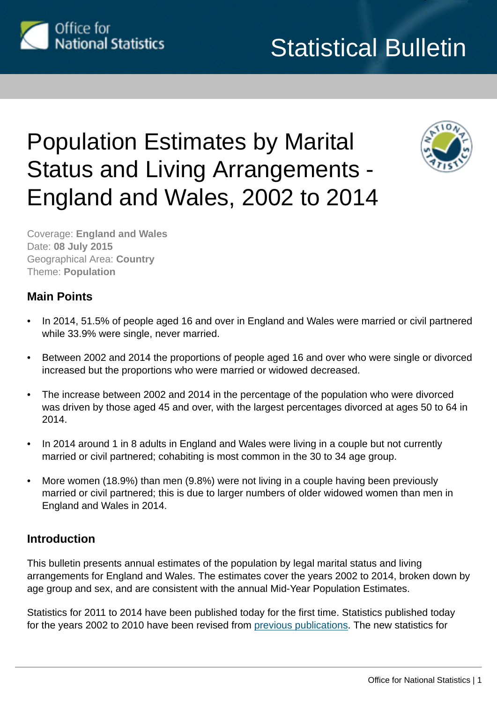

# Population Estimates by Marital Status and Living Arrangements - England and Wales, 2002 to 2014



Coverage: **England and Wales** Date: **08 July 2015** Geographical Area: **Country** Theme: **Population**

## **Main Points**

- In 2014, 51.5% of people aged 16 and over in England and Wales were married or civil partnered while 33.9% were single, never married.
- Between 2002 and 2014 the proportions of people aged 16 and over who were single or divorced increased but the proportions who were married or widowed decreased.
- The increase between 2002 and 2014 in the percentage of the population who were divorced was driven by those aged 45 and over, with the largest percentages divorced at ages 50 to 64 in 2014.
- In 2014 around 1 in 8 adults in England and Wales were living in a couple but not currently married or civil partnered; cohabiting is most common in the 30 to 34 age group.
- More women (18.9%) than men (9.8%) were not living in a couple having been previously married or civil partnered; this is due to larger numbers of older widowed women than men in England and Wales in 2014.

## **Introduction**

This bulletin presents annual estimates of the population by legal marital status and living arrangements for England and Wales. The estimates cover the years 2002 to 2014, broken down by age group and sex, and are consistent with the annual Mid-Year Population Estimates.

Statistics for 2011 to 2014 have been published today for the first time. Statistics published today for the years 2002 to 2010 have been revised from [previous publications](http://www.ons.gov.uk:80/ons/rel/pop-estimate/population-estimates-by-marital-status/index.html). The new statistics for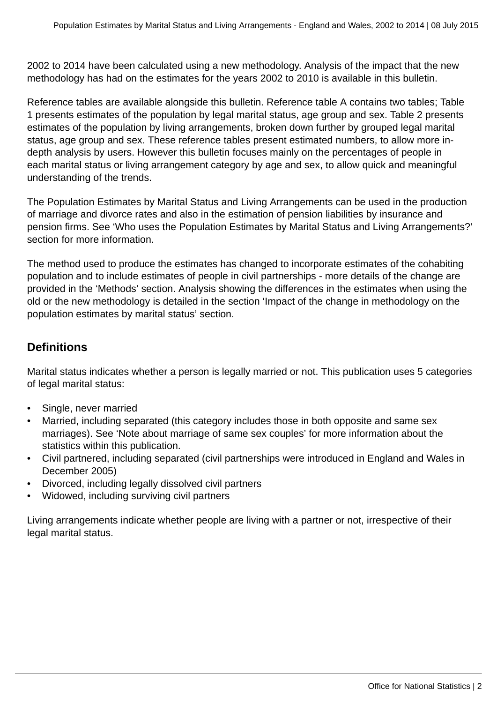2002 to 2014 have been calculated using a new methodology. Analysis of the impact that the new methodology has had on the estimates for the years 2002 to 2010 is available in this bulletin.

Reference tables are available alongside this bulletin. Reference table A contains two tables; Table 1 presents estimates of the population by legal marital status, age group and sex. Table 2 presents estimates of the population by living arrangements, broken down further by grouped legal marital status, age group and sex. These reference tables present estimated numbers, to allow more indepth analysis by users. However this bulletin focuses mainly on the percentages of people in each marital status or living arrangement category by age and sex, to allow quick and meaningful understanding of the trends.

The Population Estimates by Marital Status and Living Arrangements can be used in the production of marriage and divorce rates and also in the estimation of pension liabilities by insurance and pension firms. See 'Who uses the Population Estimates by Marital Status and Living Arrangements?' section for more information.

The method used to produce the estimates has changed to incorporate estimates of the cohabiting population and to include estimates of people in civil partnerships - more details of the change are provided in the 'Methods' section. Analysis showing the differences in the estimates when using the old or the new methodology is detailed in the section 'Impact of the change in methodology on the population estimates by marital status' section.

## **Definitions**

Marital status indicates whether a person is legally married or not. This publication uses 5 categories of legal marital status:

- Single, never married
- Married, including separated (this category includes those in both opposite and same sex marriages). See 'Note about marriage of same sex couples' for more information about the statistics within this publication.
- Civil partnered, including separated (civil partnerships were introduced in England and Wales in December 2005)
- Divorced, including legally dissolved civil partners
- Widowed, including surviving civil partners

Living arrangements indicate whether people are living with a partner or not, irrespective of their legal marital status.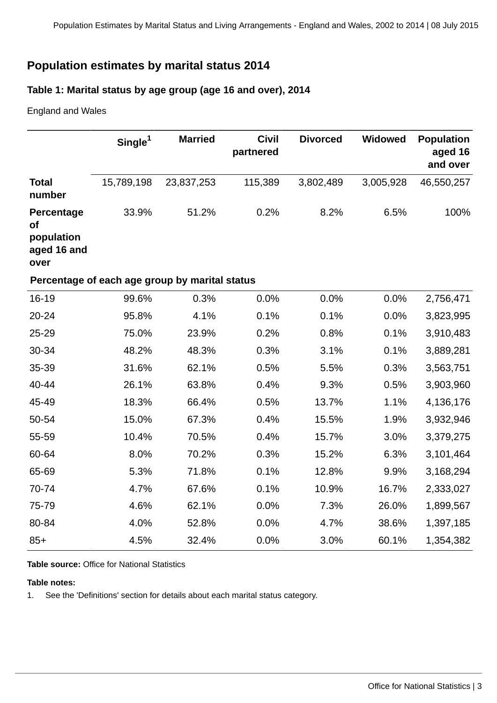## **Population estimates by marital status 2014**

## **Table 1: Marital status by age group (age 16 and over), 2014**

England and Wales

|                                                              | Single <sup>1</sup>                            | <b>Married</b> | <b>Civil</b><br>partnered | <b>Divorced</b> | <b>Widowed</b> | <b>Population</b><br>aged 16<br>and over |
|--------------------------------------------------------------|------------------------------------------------|----------------|---------------------------|-----------------|----------------|------------------------------------------|
| <b>Total</b><br>number                                       | 15,789,198                                     | 23,837,253     | 115,389                   | 3,802,489       | 3,005,928      | 46,550,257                               |
| Percentage<br><b>of</b><br>population<br>aged 16 and<br>over | 33.9%                                          | 51.2%          | 0.2%                      | 8.2%            | 6.5%           | 100%                                     |
|                                                              | Percentage of each age group by marital status |                |                           |                 |                |                                          |
| 16-19                                                        | 99.6%                                          | 0.3%           | 0.0%                      | 0.0%            | 0.0%           | 2,756,471                                |
| 20-24                                                        | 95.8%                                          | 4.1%           | 0.1%                      | 0.1%            | 0.0%           | 3,823,995                                |
| 25-29                                                        | 75.0%                                          | 23.9%          | 0.2%                      | 0.8%            | 0.1%           | 3,910,483                                |
| 30-34                                                        | 48.2%                                          | 48.3%          | 0.3%                      | 3.1%            | 0.1%           | 3,889,281                                |
| 35-39                                                        | 31.6%                                          | 62.1%          | 0.5%                      | 5.5%            | 0.3%           | 3,563,751                                |
| 40-44                                                        | 26.1%                                          | 63.8%          | 0.4%                      | 9.3%            | 0.5%           | 3,903,960                                |
| 45-49                                                        | 18.3%                                          | 66.4%          | 0.5%                      | 13.7%           | 1.1%           | 4,136,176                                |
| 50-54                                                        | 15.0%                                          | 67.3%          | 0.4%                      | 15.5%           | 1.9%           | 3,932,946                                |
| 55-59                                                        | 10.4%                                          | 70.5%          | 0.4%                      | 15.7%           | 3.0%           | 3,379,275                                |
| 60-64                                                        | 8.0%                                           | 70.2%          | 0.3%                      | 15.2%           | 6.3%           | 3,101,464                                |
| 65-69                                                        | 5.3%                                           | 71.8%          | 0.1%                      | 12.8%           | 9.9%           | 3,168,294                                |
| 70-74                                                        | 4.7%                                           | 67.6%          | 0.1%                      | 10.9%           | 16.7%          | 2,333,027                                |
| 75-79                                                        | 4.6%                                           | 62.1%          | 0.0%                      | 7.3%            | 26.0%          | 1,899,567                                |
| 80-84                                                        | 4.0%                                           | 52.8%          | 0.0%                      | 4.7%            | 38.6%          | 1,397,185                                |
| $85+$                                                        | 4.5%                                           | 32.4%          | 0.0%                      | 3.0%            | 60.1%          | 1,354,382                                |

**Table source:** Office for National Statistics

#### **Table notes:**

1. See the 'Definitions' section for details about each marital status category.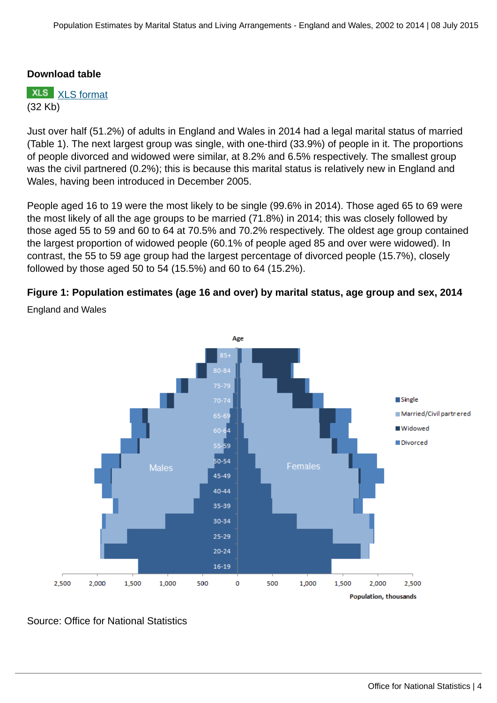#### **Download table**

**XLS** [XLS format](http://www.ons.gov.uk:80/ons/rel/family-demography/population-estimates-by-marital-status-and-living-arrangements/england-and-wales--2002-to-2014/prt-table-1.xls) (32 Kb)

Just over half (51.2%) of adults in England and Wales in 2014 had a legal marital status of married (Table 1). The next largest group was single, with one-third (33.9%) of people in it. The proportions of people divorced and widowed were similar, at 8.2% and 6.5% respectively. The smallest group was the civil partnered (0.2%); this is because this marital status is relatively new in England and Wales, having been introduced in December 2005.

People aged 16 to 19 were the most likely to be single (99.6% in 2014). Those aged 65 to 69 were the most likely of all the age groups to be married (71.8%) in 2014; this was closely followed by those aged 55 to 59 and 60 to 64 at 70.5% and 70.2% respectively. The oldest age group contained the largest proportion of widowed people (60.1% of people aged 85 and over were widowed). In contrast, the 55 to 59 age group had the largest percentage of divorced people (15.7%), closely followed by those aged 50 to 54 (15.5%) and 60 to 64 (15.2%).

## **Figure 1: Population estimates (age 16 and over) by marital status, age group and sex, 2014**



England and Wales

Source: Office for National Statistics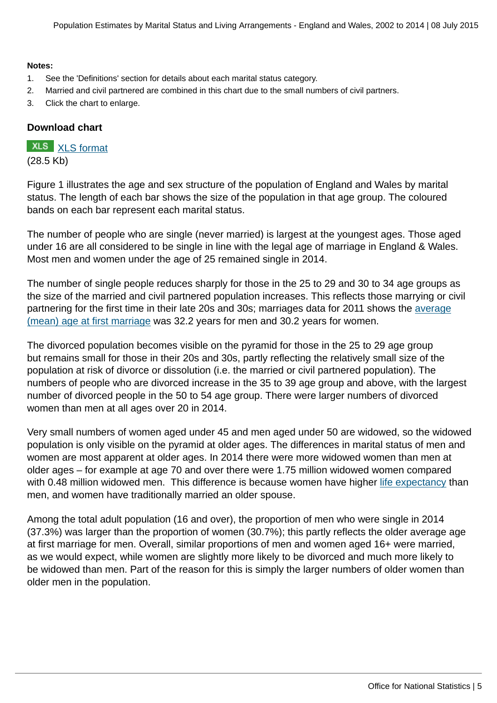#### **Notes:**

- 1. See the 'Definitions' section for details about each marital status category.
- 2. Married and civil partnered are combined in this chart due to the small numbers of civil partners.
- 3. Click the chart to enlarge.

#### **Download chart**

## **XLS** [XLS format](http://www.ons.gov.uk:80/ons/rel/family-demography/population-estimates-by-marital-status-and-living-arrangements/england-and-wales--2002-to-2014/chd-figure-1.xls)

(28.5 Kb)

Figure 1 illustrates the age and sex structure of the population of England and Wales by marital status. The length of each bar shows the size of the population in that age group. The coloured bands on each bar represent each marital status.

The number of people who are single (never married) is largest at the youngest ages. Those aged under 16 are all considered to be single in line with the legal age of marriage in England & Wales. Most men and women under the age of 25 remained single in 2014.

The number of single people reduces sharply for those in the 25 to 29 and 30 to 34 age groups as the size of the married and civil partnered population increases. This reflects those marrying or civil partnering for the first time in their late 20s and 30s; marriages data for 2011 shows the [average](http://www.ons.gov.uk/ons/rel/vsob1/marriages-in-england-and-wales--provisional-/2012/index.html) [\(mean\) age at first marriage](http://www.ons.gov.uk/ons/rel/vsob1/marriages-in-england-and-wales--provisional-/2012/index.html) was 32.2 years for men and 30.2 years for women.

The divorced population becomes visible on the pyramid for those in the 25 to 29 age group but remains small for those in their 20s and 30s, partly reflecting the relatively small size of the population at risk of divorce or dissolution (i.e. the married or civil partnered population). The numbers of people who are divorced increase in the 35 to 39 age group and above, with the largest number of divorced people in the 50 to 54 age group. There were larger numbers of divorced women than men at all ages over 20 in 2014.

Very small numbers of women aged under 45 and men aged under 50 are widowed, so the widowed population is only visible on the pyramid at older ages. The differences in marital status of men and women are most apparent at older ages. In 2014 there were more widowed women than men at older ages – for example at age 70 and over there were 1.75 million widowed women compared with 0.48 million widowed men. This difference is because women have higher [life expectancy](http://www.ons.gov.uk/ons/rel/lifetables/national-life-tables/2011-2013/index.html) than men, and women have traditionally married an older spouse.

Among the total adult population (16 and over), the proportion of men who were single in 2014 (37.3%) was larger than the proportion of women (30.7%); this partly reflects the older average age at first marriage for men. Overall, similar proportions of men and women aged 16+ were married, as we would expect, while women are slightly more likely to be divorced and much more likely to be widowed than men. Part of the reason for this is simply the larger numbers of older women than older men in the population.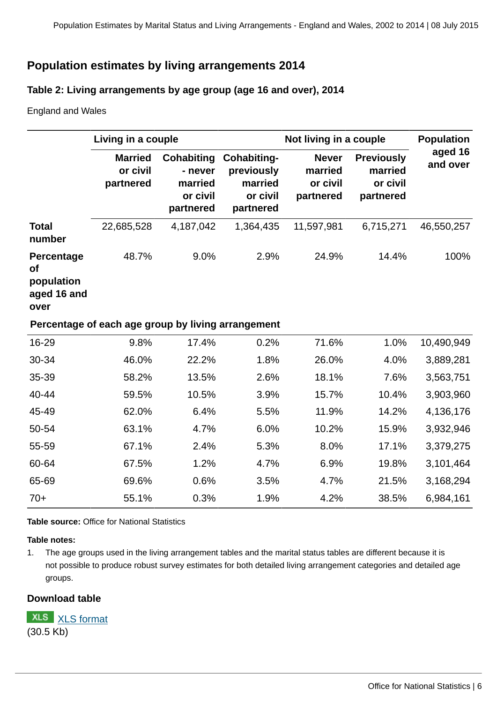## **Population estimates by living arrangements 2014**

#### **Table 2: Living arrangements by age group (age 16 and over), 2014**

England and Wales

|                                                              | Living in a couple                                 |                                                           |                                                               | Not living in a couple                           | <b>Population</b>                                     |                     |
|--------------------------------------------------------------|----------------------------------------------------|-----------------------------------------------------------|---------------------------------------------------------------|--------------------------------------------------|-------------------------------------------------------|---------------------|
|                                                              | <b>Married</b><br>or civil<br>partnered            | Cohabiting<br>- never<br>married<br>or civil<br>partnered | Cohabiting-<br>previously<br>married<br>or civil<br>partnered | <b>Never</b><br>married<br>or civil<br>partnered | <b>Previously</b><br>married<br>or civil<br>partnered | aged 16<br>and over |
| <b>Total</b><br>number                                       | 22,685,528                                         | 4,187,042                                                 | 1,364,435                                                     | 11,597,981                                       | 6,715,271                                             | 46,550,257          |
| Percentage<br><b>of</b><br>population<br>aged 16 and<br>over | 48.7%                                              | 9.0%                                                      | 2.9%                                                          | 24.9%                                            | 14.4%                                                 | 100%                |
|                                                              | Percentage of each age group by living arrangement |                                                           |                                                               |                                                  |                                                       |                     |
| 16-29                                                        | 9.8%                                               | 17.4%                                                     | 0.2%                                                          | 71.6%                                            | 1.0%                                                  | 10,490,949          |
| 30-34                                                        | 46.0%                                              | 22.2%                                                     | 1.8%                                                          | 26.0%                                            | 4.0%                                                  | 3,889,281           |
| 35-39                                                        | 58.2%                                              | 13.5%                                                     | 2.6%                                                          | 18.1%                                            | 7.6%                                                  | 3,563,751           |
| 40-44                                                        | 59.5%                                              | 10.5%                                                     | 3.9%                                                          | 15.7%                                            | 10.4%                                                 | 3,903,960           |
| 45-49                                                        | 62.0%                                              | 6.4%                                                      | 5.5%                                                          | 11.9%                                            | 14.2%                                                 | 4,136,176           |
| 50-54                                                        | 63.1%                                              | 4.7%                                                      | 6.0%                                                          | 10.2%                                            | 15.9%                                                 | 3,932,946           |
| 55-59                                                        | 67.1%                                              | 2.4%                                                      | 5.3%                                                          | 8.0%                                             | 17.1%                                                 | 3,379,275           |
| 60-64                                                        | 67.5%                                              | 1.2%                                                      | 4.7%                                                          | 6.9%                                             | 19.8%                                                 | 3,101,464           |
| 65-69                                                        | 69.6%                                              | 0.6%                                                      | 3.5%                                                          | 4.7%                                             | 21.5%                                                 | 3,168,294           |
| $70+$                                                        | 55.1%                                              | 0.3%                                                      | 1.9%                                                          | 4.2%                                             | 38.5%                                                 | 6,984,161           |

**Table source:** Office for National Statistics

#### **Table notes:**

1. The age groups used in the living arrangement tables and the marital status tables are different because it is not possible to produce robust survey estimates for both detailed living arrangement categories and detailed age groups.

#### **Download table**

**XLS** [XLS format](http://www.ons.gov.uk:80/ons/rel/family-demography/population-estimates-by-marital-status-and-living-arrangements/england-and-wales--2002-to-2014/prt-table-2.xls) (30.5 Kb)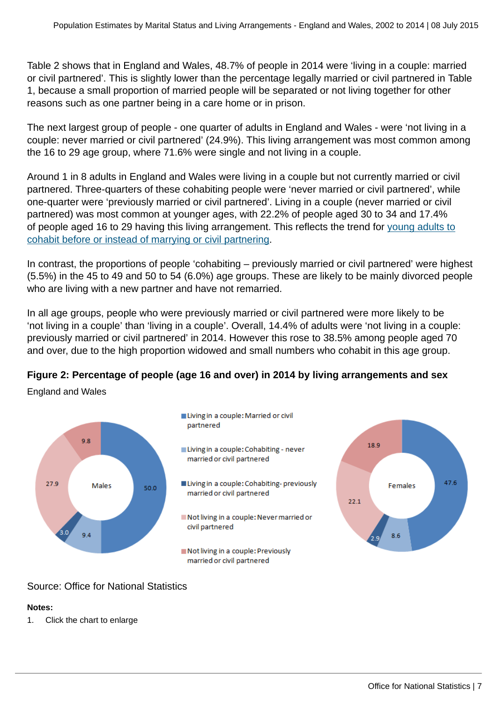Table 2 shows that in England and Wales, 48.7% of people in 2014 were 'living in a couple: married or civil partnered'. This is slightly lower than the percentage legally married or civil partnered in Table 1, because a small proportion of married people will be separated or not living together for other reasons such as one partner being in a care home or in prison.

The next largest group of people - one quarter of adults in England and Wales - were 'not living in a couple: never married or civil partnered' (24.9%). This living arrangement was most common among the 16 to 29 age group, where 71.6% were single and not living in a couple.

Around 1 in 8 adults in England and Wales were living in a couple but not currently married or civil partnered. Three-quarters of these cohabiting people were 'never married or civil partnered', while one-quarter were 'previously married or civil partnered'. Living in a couple (never married or civil partnered) was most common at younger ages, with 22.2% of people aged 30 to 34 and 17.4% of people aged 16 to 29 having this living arrangement. This reflects the trend for [young adults to](http://www.ons.gov.uk/ons/rel/population-trends-rd/population-trends/no--145--autumn-2011/ard-pt145-cohab-marriage-trends.pdf) [cohabit before or instead of marrying or civil partnering](http://www.ons.gov.uk/ons/rel/population-trends-rd/population-trends/no--145--autumn-2011/ard-pt145-cohab-marriage-trends.pdf).

In contrast, the proportions of people 'cohabiting – previously married or civil partnered' were highest (5.5%) in the 45 to 49 and 50 to 54 (6.0%) age groups. These are likely to be mainly divorced people who are living with a new partner and have not remarried.

In all age groups, people who were previously married or civil partnered were more likely to be 'not living in a couple' than 'living in a couple'. Overall, 14.4% of adults were 'not living in a couple: previously married or civil partnered' in 2014. However this rose to 38.5% among people aged 70 and over, due to the high proportion widowed and small numbers who cohabit in this age group.

## **Figure 2: Percentage of people (age 16 and over) in 2014 by living arrangements and sex**

England and Wales



## Source: Office for National Statistics

## **Notes:**

1. Click the chart to enlarge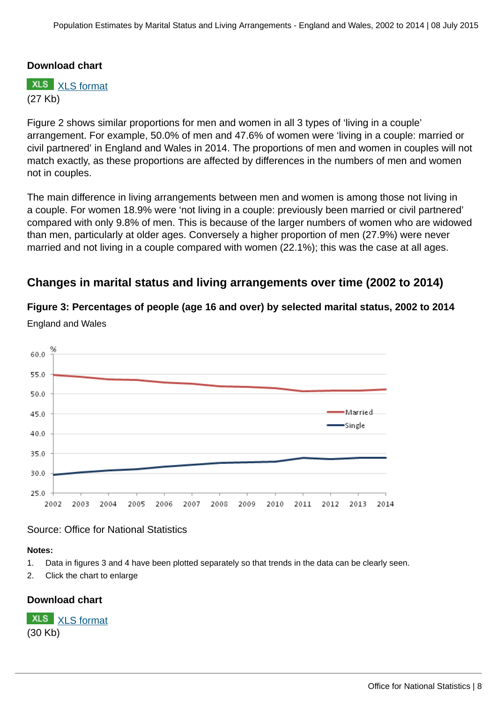#### **Download chart**

**XLS** [XLS format](http://www.ons.gov.uk:80/ons/rel/family-demography/population-estimates-by-marital-status-and-living-arrangements/england-and-wales--2002-to-2014/chd-figure-2.xls) (27 Kb)

Figure 2 shows similar proportions for men and women in all 3 types of 'living in a couple' arrangement. For example, 50.0% of men and 47.6% of women were 'living in a couple: married or civil partnered' in England and Wales in 2014. The proportions of men and women in couples will not match exactly, as these proportions are affected by differences in the numbers of men and women not in couples.

The main difference in living arrangements between men and women is among those not living in a couple. For women 18.9% were 'not living in a couple: previously been married or civil partnered' compared with only 9.8% of men. This is because of the larger numbers of women who are widowed than men, particularly at older ages. Conversely a higher proportion of men (27.9%) were never married and not living in a couple compared with women (22.1%); this was the case at all ages.

## **Changes in marital status and living arrangements over time (2002 to 2014)**

**Figure 3: Percentages of people (age 16 and over) by selected marital status, 2002 to 2014**



England and Wales

#### Source: Office for National Statistics

#### **Notes:**

- 1. Data in figures 3 and 4 have been plotted separately so that trends in the data can be clearly seen.
- 2. Click the chart to enlarge

#### **Download chart**

**XLS** [XLS format](http://www.ons.gov.uk:80/ons/rel/family-demography/population-estimates-by-marital-status-and-living-arrangements/england-and-wales--2002-to-2014/chd-figure-3-4.xls) (30 Kb)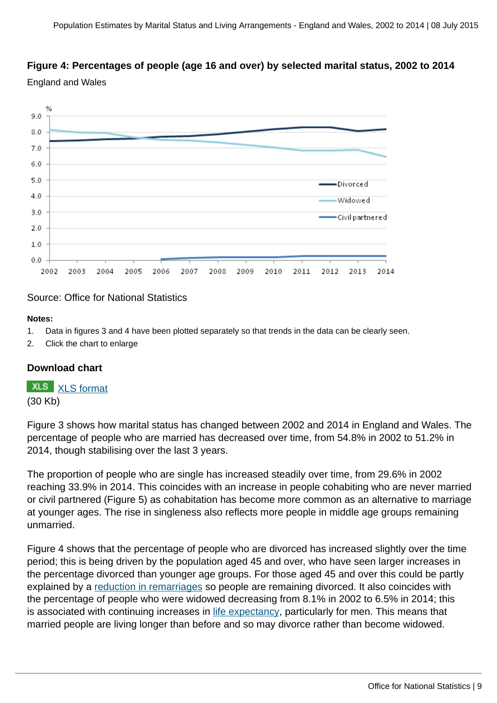## **Figure 4: Percentages of people (age 16 and over) by selected marital status, 2002 to 2014**

England and Wales



#### Source: Office for National Statistics

#### **Notes:**

- 1. Data in figures 3 and 4 have been plotted separately so that trends in the data can be clearly seen.
- 2. Click the chart to enlarge

#### **Download chart**

**XLS** [XLS format](http://www.ons.gov.uk:80/ons/rel/family-demography/population-estimates-by-marital-status-and-living-arrangements/england-and-wales--2002-to-2014/chd-figure-3-4.xls) (30 Kb)

Figure 3 shows how marital status has changed between 2002 and 2014 in England and Wales. The percentage of people who are married has decreased over time, from 54.8% in 2002 to 51.2% in 2014, though stabilising over the last 3 years.

The proportion of people who are single has increased steadily over time, from 29.6% in 2002 reaching 33.9% in 2014. This coincides with an increase in people cohabiting who are never married or civil partnered (Figure 5) as cohabitation has become more common as an alternative to marriage at younger ages. The rise in singleness also reflects more people in middle age groups remaining unmarried.

Figure 4 shows that the percentage of people who are divorced has increased slightly over the time period; this is being driven by the population aged 45 and over, who have seen larger increases in the percentage divorced than younger age groups. For those aged 45 and over this could be partly explained by a [reduction in remarriages](http://www.ons.gov.uk/ons/rel/vsob1/marriages-in-england-and-wales--provisional-/2012/stb-marriages-in-england-and-wales--provisional---2011.html#tab-Marital-Status-Before-Marriage) so people are remaining divorced. It also coincides with the percentage of people who were widowed decreasing from 8.1% in 2002 to 6.5% in 2014; this is associated with continuing increases in [life expectancy](http://www.ons.gov.uk/ons/rel/lifetables/national-life-tables/2011-2013/index.html), particularly for men. This means that married people are living longer than before and so may divorce rather than become widowed.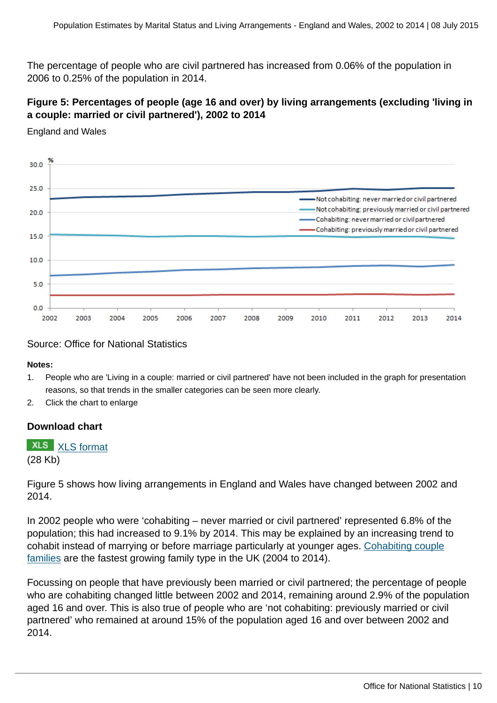The percentage of people who are civil partnered has increased from 0.06% of the population in 2006 to 0.25% of the population in 2014.

## **Figure 5: Percentages of people (age 16 and over) by living arrangements (excluding 'living in a couple: married or civil partnered'), 2002 to 2014**

England and Wales



#### Source: Office for National Statistics

#### **Notes:**

- 1. People who are 'Living in a couple: married or civil partnered' have not been included in the graph for presentation reasons, so that trends in the smaller categories can be seen more clearly.
- 2. Click the chart to enlarge

#### **Download chart**

## **XLS** [XLS format](http://www.ons.gov.uk:80/ons/rel/family-demography/population-estimates-by-marital-status-and-living-arrangements/england-and-wales--2002-to-2014/chd-figure-5.xls)

(28 Kb)

Figure 5 shows how living arrangements in England and Wales have changed between 2002 and 2014.

In 2002 people who were 'cohabiting – never married or civil partnered' represented 6.8% of the population; this had increased to 9.1% by 2014. This may be explained by an increasing trend to cohabit instead of marrying or before marriage particularly at younger ages. [Cohabiting couple](http://www.ons.gov.uk:80/ons/rel/family-demography/families-and-households/2014/index.html) [families](http://www.ons.gov.uk:80/ons/rel/family-demography/families-and-households/2014/index.html) are the fastest growing family type in the UK (2004 to 2014).

Focussing on people that have previously been married or civil partnered; the percentage of people who are cohabiting changed little between 2002 and 2014, remaining around 2.9% of the population aged 16 and over. This is also true of people who are 'not cohabiting: previously married or civil partnered' who remained at around 15% of the population aged 16 and over between 2002 and 2014.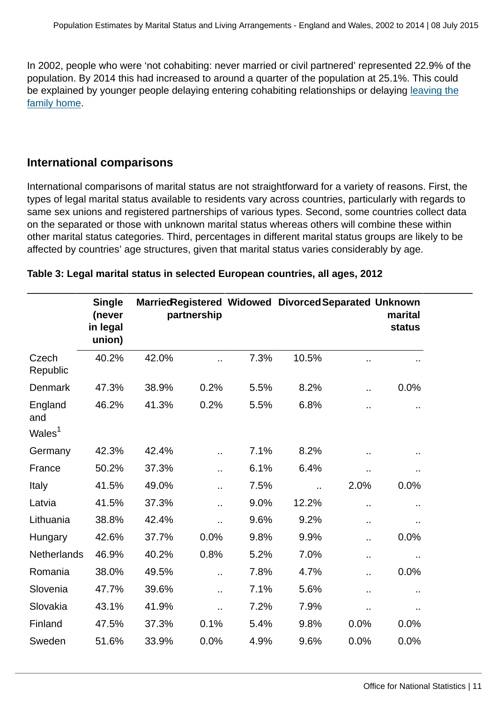In 2002, people who were 'not cohabiting: never married or civil partnered' represented 22.9% of the population. By 2014 this had increased to around a quarter of the population at 25.1%. This could be explained by younger people delaying entering cohabiting relationships or delaying [leaving the](http://www.ons.gov.uk:80/ons/rel/family-demography/young-adults-living-with-parents/2013/index.html) [family home](http://www.ons.gov.uk:80/ons/rel/family-demography/young-adults-living-with-parents/2013/index.html).

## **International comparisons**

International comparisons of marital status are not straightforward for a variety of reasons. First, the types of legal marital status available to residents vary across countries, particularly with regards to same sex unions and registered partnerships of various types. Second, some countries collect data on the separated or those with unknown marital status whereas others will combine these within other marital status categories. Third, percentages in different marital status groups are likely to be affected by countries' age structures, given that marital status varies considerably by age.

| <b>Single</b><br>(never<br>in legal<br>union) |       |                      |             |                      |                      | marital<br><b>status</b>                              |
|-----------------------------------------------|-------|----------------------|-------------|----------------------|----------------------|-------------------------------------------------------|
| 40.2%                                         | 42.0% |                      | 7.3%        | 10.5%                | $\ddot{\phantom{a}}$ |                                                       |
| 47.3%                                         | 38.9% | 0.2%                 | 5.5%        | 8.2%                 | Ω.                   | 0.0%                                                  |
| 46.2%                                         | 41.3% | 0.2%                 | 5.5%        | 6.8%                 | ٠.                   | $\sim$                                                |
| 42.3%                                         | 42.4% | $\ddot{\phantom{a}}$ | 7.1%        | 8.2%                 | $\ddot{\phantom{a}}$ |                                                       |
| 50.2%                                         | 37.3% | Ω,                   | 6.1%        | 6.4%                 | ٠.                   | ٠.                                                    |
| 41.5%                                         | 49.0% | Ω.                   | 7.5%        | $\ddot{\phantom{a}}$ | 2.0%                 | 0.0%                                                  |
| 41.5%                                         | 37.3% |                      | 9.0%        | 12.2%                | $\ddot{\phantom{a}}$ | .,                                                    |
| 38.8%                                         | 42.4% | $\ddot{\phantom{a}}$ | 9.6%        | 9.2%                 | Ω,                   |                                                       |
| 42.6%                                         | 37.7% | 0.0%                 | 9.8%        | 9.9%                 | . .                  | 0.0%                                                  |
| <b>Netherlands</b><br>46.9%                   | 40.2% | 0.8%                 | 5.2%        | 7.0%                 | .,                   | .,                                                    |
| 38.0%                                         | 49.5% | $\ddot{\phantom{a}}$ | 7.8%        | 4.7%                 | Ω,                   | 0.0%                                                  |
| 47.7%                                         | 39.6% | . .                  | 7.1%        | 5.6%                 | $\ddot{\phantom{a}}$ | $\sim$                                                |
| 43.1%                                         | 41.9% | $\ddot{\phantom{a}}$ | 7.2%        | 7.9%                 | Ω.                   |                                                       |
| 47.5%                                         | 37.3% | 0.1%                 | 5.4%        | 9.8%                 | 0.0%                 | 0.0%                                                  |
| 51.6%                                         | 33.9% | 0.0%                 | 4.9%        | 9.6%                 | 0.0%                 | 0.0%                                                  |
|                                               |       |                      | partnership |                      |                      | Married Registered Widowed Divorced Separated Unknown |

#### **Table 3: Legal marital status in selected European countries, all ages, 2012**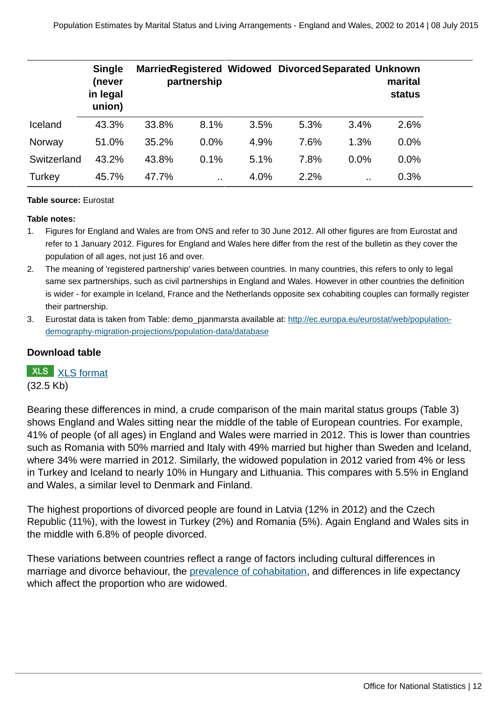|             | <b>Single</b><br>(never<br>in legal<br>union) |       | partnership |      | Married Registered Widowed Divorced Separated Unknown |      | marital<br>status |
|-------------|-----------------------------------------------|-------|-------------|------|-------------------------------------------------------|------|-------------------|
| Iceland     | 43.3%                                         | 33.8% | 8.1%        | 3.5% | 5.3%                                                  | 3.4% | 2.6%              |
| Norway      | 51.0%                                         | 35.2% | $0.0\%$     | 4.9% | 7.6%                                                  | 1.3% | 0.0%              |
| Switzerland | 43.2%                                         | 43.8% | 0.1%        | 5.1% | 7.8%                                                  | 0.0% | $0.0\%$           |
| Turkey      | 45.7%                                         | 47.7% |             | 4.0% | 2.2%                                                  |      | 0.3%              |

#### **Table source:** Eurostat

#### **Table notes:**

- 1. Figures for England and Wales are from ONS and refer to 30 June 2012. All other figures are from Eurostat and refer to 1 January 2012. Figures for England and Wales here differ from the rest of the bulletin as they cover the population of all ages, not just 16 and over.
- 2. The meaning of 'registered partnership' varies between countries. In many countries, this refers to only to legal same sex partnerships, such as civil partnerships in England and Wales. However in other countries the definition is wider - for example in Iceland, France and the Netherlands opposite sex cohabiting couples can formally register their partnership.
- 3. Eurostat data is taken from Table: demo pjanmarsta available at: [http://ec.europa.eu/eurostat/web/population](http://ec.europa.eu/eurostat/web/population-demography-migration-projections/population-data/database)[demography-migration-projections/population-data/database](http://ec.europa.eu/eurostat/web/population-demography-migration-projections/population-data/database)

#### **Download table**

**XLS** [XLS format](http://www.ons.gov.uk:80/ons/rel/family-demography/population-estimates-by-marital-status-and-living-arrangements/england-and-wales--2002-to-2014/prt-table-3.xls) (32.5 Kb)

Bearing these differences in mind, a crude comparison of the main marital status groups (Table 3) shows England and Wales sitting near the middle of the table of European countries. For example, 41% of people (of all ages) in England and Wales were married in 2012. This is lower than countries such as Romania with 50% married and Italy with 49% married but higher than Sweden and Iceland, where 34% were married in 2012. Similarly, the widowed population in 2012 varied from 4% or less in Turkey and Iceland to nearly 10% in Hungary and Lithuania. This compares with 5.5% in England and Wales, a similar level to Denmark and Finland.

The highest proportions of divorced people are found in Latvia (12% in 2012) and the Czech Republic (11%), with the lowest in Turkey (2%) and Romania (5%). Again England and Wales sits in the middle with 6.8% of people divorced.

These variations between countries reflect a range of factors including cultural differences in marriage and divorce behaviour, the [prevalence of cohabitation](http://www.cpc.ac.uk/publications/cpc_working_papers/pdf/2014_WP52_The_increase_in_cohabitation_and_the_role_of_marital_status_in_family_policies_Sanchez-Gassen_et_al.pdf), and differences in life expectancy which affect the proportion who are widowed.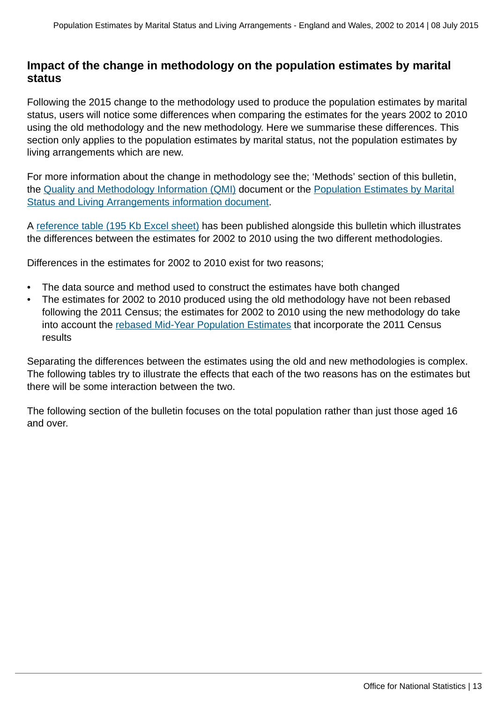## **Impact of the change in methodology on the population estimates by marital status**

Following the 2015 change to the methodology used to produce the population estimates by marital status, users will notice some differences when comparing the estimates for the years 2002 to 2010 using the old methodology and the new methodology. Here we summarise these differences. This section only applies to the population estimates by marital status, not the population estimates by living arrangements which are new.

For more information about the change in methodology see the; 'Methods' section of this bulletin, the [Quality and Methodology Information \(QMI\)](http://www.ons.gov.uk/ons/guide-method/method-quality/quality/quality-information/population/index.html) document or the [Population Estimates by Marital](http://www.ons.gov.uk/ons/guide-method/method-quality/specific/population-and-migration/pop-ests/population-estimates-by-marital-status--methodology/index.html) [Status and Living Arrangements information document.](http://www.ons.gov.uk/ons/guide-method/method-quality/specific/population-and-migration/pop-ests/population-estimates-by-marital-status--methodology/index.html)

A [reference table \(195 Kb Excel sheet\)](http://www.ons.gov.uk:80/ons/rel/family-demography/population-estimates-by-marital-status-and-living-arrangements/england-and-wales--2002-to-2014/rft-2.xls) has been published alongside this bulletin which illustrates the differences between the estimates for 2002 to 2010 using the two different methodologies.

Differences in the estimates for 2002 to 2010 exist for two reasons;

- The data source and method used to construct the estimates have both changed
- The estimates for 2002 to 2010 produced using the old methodology have not been rebased following the 2011 Census; the estimates for 2002 to 2010 using the new methodology do take into account the [rebased Mid-Year Population Estimates](http://www.ons.gov.uk/ons/rel/pop-estimate/population-estimates-for-uk--england-and-wales--scotland-and-northern-ireland/mid-2001-to-mid-2010-revised/index.html) that incorporate the 2011 Census results

Separating the differences between the estimates using the old and new methodologies is complex. The following tables try to illustrate the effects that each of the two reasons has on the estimates but there will be some interaction between the two.

The following section of the bulletin focuses on the total population rather than just those aged 16 and over.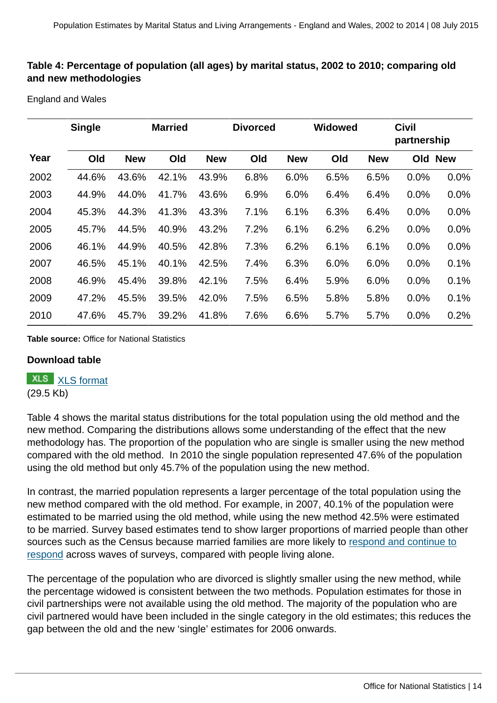#### **Table 4: Percentage of population (all ages) by marital status, 2002 to 2010; comparing old and new methodologies**

England and Wales

|      | <b>Single</b> |            | <b>Married</b> |            | <b>Divorced</b> |            | <b>Widowed</b> |            | <b>Civil</b><br>partnership |            |
|------|---------------|------------|----------------|------------|-----------------|------------|----------------|------------|-----------------------------|------------|
| Year | Old           | <b>New</b> | Old            | <b>New</b> | Old             | <b>New</b> | Old            | <b>New</b> | Old                         | <b>New</b> |
| 2002 | 44.6%         | 43.6%      | 42.1%          | 43.9%      | 6.8%            | 6.0%       | 6.5%           | 6.5%       | 0.0%                        | 0.0%       |
| 2003 | 44.9%         | 44.0%      | 41.7%          | 43.6%      | 6.9%            | 6.0%       | 6.4%           | 6.4%       | 0.0%                        | 0.0%       |
| 2004 | 45.3%         | 44.3%      | 41.3%          | 43.3%      | 7.1%            | 6.1%       | 6.3%           | 6.4%       | 0.0%                        | 0.0%       |
| 2005 | 45.7%         | 44.5%      | 40.9%          | 43.2%      | 7.2%            | 6.1%       | 6.2%           | 6.2%       | 0.0%                        | 0.0%       |
| 2006 | 46.1%         | 44.9%      | 40.5%          | 42.8%      | 7.3%            | 6.2%       | 6.1%           | 6.1%       | 0.0%                        | 0.0%       |
| 2007 | 46.5%         | 45.1%      | 40.1%          | 42.5%      | 7.4%            | 6.3%       | 6.0%           | 6.0%       | 0.0%                        | 0.1%       |
| 2008 | 46.9%         | 45.4%      | 39.8%          | 42.1%      | 7.5%            | 6.4%       | 5.9%           | 6.0%       | 0.0%                        | 0.1%       |
| 2009 | 47.2%         | 45.5%      | 39.5%          | 42.0%      | 7.5%            | 6.5%       | 5.8%           | 5.8%       | 0.0%                        | 0.1%       |
| 2010 | 47.6%         | 45.7%      | 39.2%          | 41.8%      | 7.6%            | 6.6%       | 5.7%           | 5.7%       | 0.0%                        | 0.2%       |

**Table source:** Office for National Statistics

#### **Download table**

**XLS** [XLS format](http://www.ons.gov.uk:80/ons/rel/family-demography/population-estimates-by-marital-status-and-living-arrangements/england-and-wales--2002-to-2014/prt-table-4.xls)

(29.5 Kb)

Table 4 shows the marital status distributions for the total population using the old method and the new method. Comparing the distributions allows some understanding of the effect that the new methodology has. The proportion of the population who are single is smaller using the new method compared with the old method. In 2010 the single population represented 47.6% of the population using the old method but only 45.7% of the population using the new method.

In contrast, the married population represents a larger percentage of the total population using the new method compared with the old method. For example, in 2007, 40.1% of the population were estimated to be married using the old method, while using the new method 42.5% were estimated to be married. Survey based estimates tend to show larger proportions of married people than other sources such as the Census because married families are more likely to [respond and continue to](http://www.ons.gov.uk/ons/guide-method/method-quality/quality/quality-reviews/list-of-current-national-statistics-quality-reviews/nsqr-series--2--report-no--1/report---review-of-the-labour-force-survey.pdf) [respond](http://www.ons.gov.uk/ons/guide-method/method-quality/quality/quality-reviews/list-of-current-national-statistics-quality-reviews/nsqr-series--2--report-no--1/report---review-of-the-labour-force-survey.pdf) across waves of surveys, compared with people living alone.

The percentage of the population who are divorced is slightly smaller using the new method, while the percentage widowed is consistent between the two methods. Population estimates for those in civil partnerships were not available using the old method. The majority of the population who are civil partnered would have been included in the single category in the old estimates; this reduces the gap between the old and the new 'single' estimates for 2006 onwards.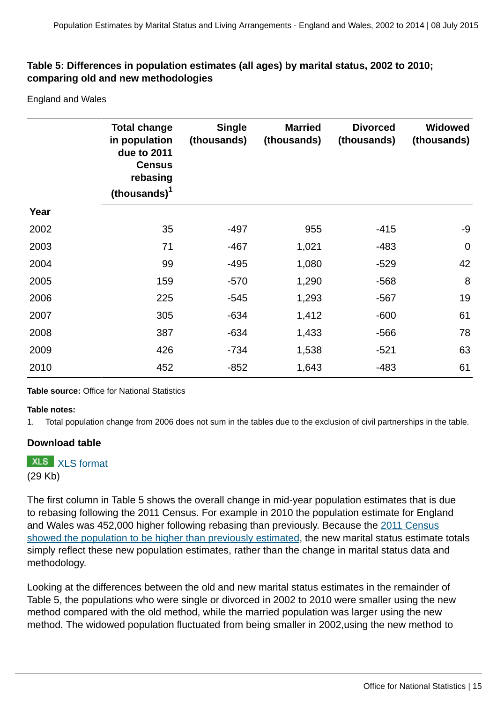#### **Table 5: Differences in population estimates (all ages) by marital status, 2002 to 2010; comparing old and new methodologies**

England and Wales

|      | <b>Total change</b><br>in population<br>due to 2011<br><b>Census</b><br>rebasing<br>(thousands) <sup>1</sup> | <b>Single</b><br>(thousands) | <b>Married</b><br>(thousands) | <b>Divorced</b><br>(thousands) | <b>Widowed</b><br>(thousands) |
|------|--------------------------------------------------------------------------------------------------------------|------------------------------|-------------------------------|--------------------------------|-------------------------------|
| Year |                                                                                                              |                              |                               |                                |                               |
| 2002 | 35                                                                                                           | $-497$                       | 955                           | $-415$                         | $-9$                          |
| 2003 | 71                                                                                                           | $-467$                       | 1,021                         | $-483$                         | $\mathbf 0$                   |
| 2004 | 99                                                                                                           | $-495$                       | 1,080                         | $-529$                         | 42                            |
| 2005 | 159                                                                                                          | $-570$                       | 1,290                         | $-568$                         | 8                             |
| 2006 | 225                                                                                                          | $-545$                       | 1,293                         | $-567$                         | 19                            |
| 2007 | 305                                                                                                          | $-634$                       | 1,412                         | $-600$                         | 61                            |
| 2008 | 387                                                                                                          | $-634$                       | 1,433                         | $-566$                         | 78                            |
| 2009 | 426                                                                                                          | $-734$                       | 1,538                         | $-521$                         | 63                            |
| 2010 | 452                                                                                                          | $-852$                       | 1,643                         | $-483$                         | 61                            |

**Table source:** Office for National Statistics

#### **Table notes:**

1. Total population change from 2006 does not sum in the tables due to the exclusion of civil partnerships in the table.

#### **Download table**

**XLS** [XLS format](http://www.ons.gov.uk:80/ons/rel/family-demography/population-estimates-by-marital-status-and-living-arrangements/england-and-wales--2002-to-2014/prt-table-5.xls) (29 Kb)

The first column in Table 5 shows the overall change in mid-year population estimates that is due to rebasing following the 2011 Census. For example in 2010 the population estimate for England and Wales was 452,000 higher following rebasing than previously. Because the [2011 Census](http://www.ons.gov.uk/ons/guide-method/method-quality/specific/population-and-migration/population-statistics-research-unit--psru-/difference-between-the-2011-census-estimates-and-the-rolled-forward-population-estimates.pdf) [showed the population to be higher than previously estimated](http://www.ons.gov.uk/ons/guide-method/method-quality/specific/population-and-migration/population-statistics-research-unit--psru-/difference-between-the-2011-census-estimates-and-the-rolled-forward-population-estimates.pdf), the new marital status estimate totals simply reflect these new population estimates, rather than the change in marital status data and methodology.

Looking at the differences between the old and new marital status estimates in the remainder of Table 5, the populations who were single or divorced in 2002 to 2010 were smaller using the new method compared with the old method, while the married population was larger using the new method. The widowed population fluctuated from being smaller in 2002,using the new method to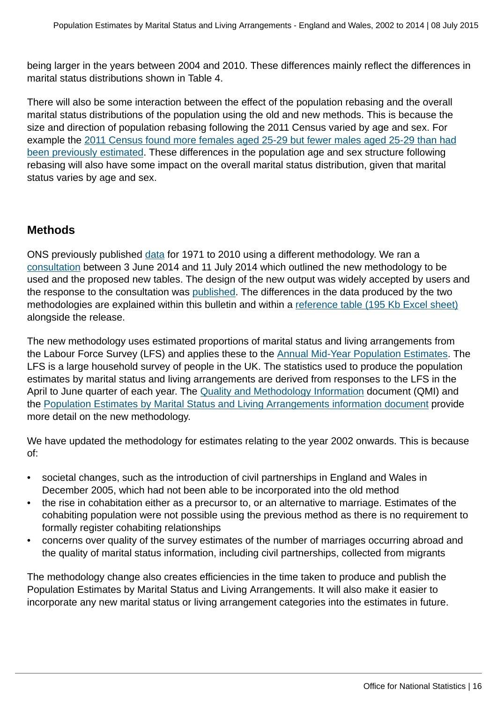being larger in the years between 2004 and 2010. These differences mainly reflect the differences in marital status distributions shown in Table 4.

There will also be some interaction between the effect of the population rebasing and the overall marital status distributions of the population using the old and new methods. This is because the size and direction of population rebasing following the 2011 Census varied by age and sex. For example the [2011 Census found more females aged 25-29 but fewer males aged 25-29 than had](http://www.ons.gov.uk/ons/guide-method/method-quality/specific/population-and-migration/population-statistics-research-unit--psru-/difference-between-the-2011-census-estimates-and-the-rolled-forward-population-estimates.pdf) [been previously estimated.](http://www.ons.gov.uk/ons/guide-method/method-quality/specific/population-and-migration/population-statistics-research-unit--psru-/difference-between-the-2011-census-estimates-and-the-rolled-forward-population-estimates.pdf) These differences in the population age and sex structure following rebasing will also have some impact on the overall marital status distribution, given that marital status varies by age and sex.

## **Methods**

ONS previously published [data](http://www.ons.gov.uk/ons/rel/pop-estimate/population-estimates-by-marital-status/index.html) for 1971 to 2010 using a different methodology. We ran a [consultation](http://www.ons.gov.uk/ons/about-ons/get-involved/consultations-and-user-surveys/open-consultations/2014/consultation-on-population-estimates-by-marital-status-and-living-arrangements/index.html) between 3 June 2014 and 11 July 2014 which outlined the new methodology to be used and the proposed new tables. The design of the new output was widely accepted by users and the response to the consultation was [published.](http://www.ons.gov.uk/ons/about-ons/get-involved/consultations-and-user-surveys/open-consultations/2014/consultation-on-population-estimates-by-marital-status-and-living-arrangements/response-to-the-consultation-on-population-estimates.doc) The differences in the data produced by the two methodologies are explained within this bulletin and within a [reference table \(195 Kb Excel sheet\)](http://www.ons.gov.uk:80/ons/rel/family-demography/population-estimates-by-marital-status-and-living-arrangements/england-and-wales--2002-to-2014/rft-2.xls) alongside the release.

The new methodology uses estimated proportions of marital status and living arrangements from the Labour Force Survey (LFS) and applies these to the [Annual Mid-Year Population Estimates.](http://www.ons.gov.uk:80/ons/rel/pop-estimate/population-estimates-for-uk--england-and-wales--scotland-and-northern-ireland/index.html) The LFS is a large household survey of people in the UK. The statistics used to produce the population estimates by marital status and living arrangements are derived from responses to the LFS in the April to June quarter of each year. The [Quality and Methodology Information](http://www.ons.gov.uk/ons/guide-method/method-quality/quality/quality-information/population/index.html) document (QMI) and the [Population Estimates by Marital Status and Living Arrangements information document](http://www.ons.gov.uk/ons/guide-method/method-quality/specific/population-and-migration/pop-ests/population-estimates-by-marital-status--methodology/index.html) provide more detail on the new methodology.

We have updated the methodology for estimates relating to the year 2002 onwards. This is because of:

- societal changes, such as the introduction of civil partnerships in England and Wales in December 2005, which had not been able to be incorporated into the old method
- the rise in cohabitation either as a precursor to, or an alternative to marriage. Estimates of the cohabiting population were not possible using the previous method as there is no requirement to formally register cohabiting relationships
- concerns over quality of the survey estimates of the number of marriages occurring abroad and the quality of marital status information, including civil partnerships, collected from migrants

The methodology change also creates efficiencies in the time taken to produce and publish the Population Estimates by Marital Status and Living Arrangements. It will also make it easier to incorporate any new marital status or living arrangement categories into the estimates in future.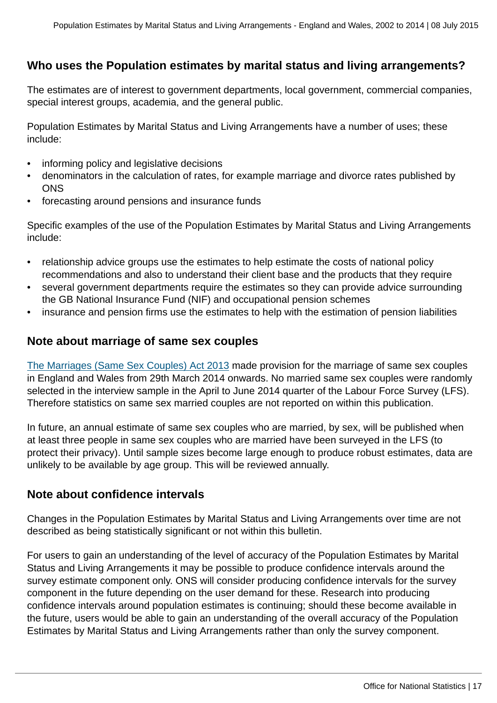## **Who uses the Population estimates by marital status and living arrangements?**

The estimates are of interest to government departments, local government, commercial companies, special interest groups, academia, and the general public.

Population Estimates by Marital Status and Living Arrangements have a number of uses; these include:

- informing policy and legislative decisions
- denominators in the calculation of rates, for example marriage and divorce rates published by **ONS**
- forecasting around pensions and insurance funds

Specific examples of the use of the Population Estimates by Marital Status and Living Arrangements include:

- relationship advice groups use the estimates to help estimate the costs of national policy recommendations and also to understand their client base and the products that they require
- several government departments require the estimates so they can provide advice surrounding the GB National Insurance Fund (NIF) and occupational pension schemes
- insurance and pension firms use the estimates to help with the estimation of pension liabilities

## **Note about marriage of same sex couples**

[The Marriages \(Same Sex Couples\) Act 2013](http://www.legislation.gov.uk/ukpga/2013/30/contents/enacted) made provision for the marriage of same sex couples in England and Wales from 29th March 2014 onwards. No married same sex couples were randomly selected in the interview sample in the April to June 2014 quarter of the Labour Force Survey (LFS). Therefore statistics on same sex married couples are not reported on within this publication.

In future, an annual estimate of same sex couples who are married, by sex, will be published when at least three people in same sex couples who are married have been surveyed in the LFS (to protect their privacy). Until sample sizes become large enough to produce robust estimates, data are unlikely to be available by age group. This will be reviewed annually.

## **Note about confidence intervals**

Changes in the Population Estimates by Marital Status and Living Arrangements over time are not described as being statistically significant or not within this bulletin.

For users to gain an understanding of the level of accuracy of the Population Estimates by Marital Status and Living Arrangements it may be possible to produce confidence intervals around the survey estimate component only. ONS will consider producing confidence intervals for the survey component in the future depending on the user demand for these. Research into producing confidence intervals around population estimates is continuing; should these become available in the future, users would be able to gain an understanding of the overall accuracy of the Population Estimates by Marital Status and Living Arrangements rather than only the survey component.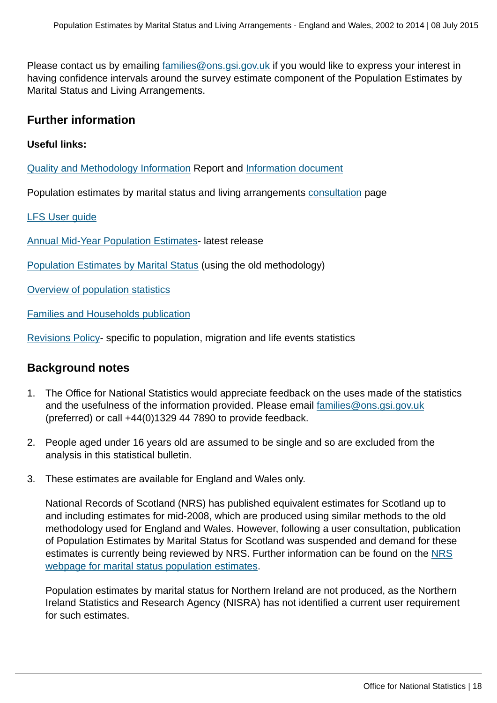Please contact us by emailing [families@ons.gsi.gov.uk](mailto:families@ons.gsi.gov.uk) if you would like to express your interest in having confidence intervals around the survey estimate component of the Population Estimates by Marital Status and Living Arrangements.

## **Further information**

#### **Useful links:**

[Quality and Methodology Information](http://www.ons.gov.uk/ons/guide-method/method-quality/quality/quality-information/population/index.html) Report and [Information document](http://www.ons.gov.uk/ons/guide-method/method-quality/specific/population-and-migration/pop-ests/population-estimates-by-marital-status--methodology/index.html)

Population estimates by marital status and living arrangements [consultation](http://www.ons.gov.uk/ons/about-ons/get-involved/consultations-and-user-surveys/open-consultations/2014/consultation-on-population-estimates-by-marital-status-and-living-arrangements/index.html) page

#### [LFS User guide](http://www.ons.gov.uk/ons/guide-method/method-quality/specific/labour-market/labour-market-statistics/index.html)

[Annual Mid-Year Population Estimates-](http://www.ons.gov.uk:80/ons/rel/pop-estimate/population-estimates-for-uk--england-and-wales--scotland-and-northern-ireland/mid-2014/index.html) latest release

[Population Estimates by Marital Status](http://www.ons.gov.uk:80/ons/rel/pop-estimate/population-estimates-by-marital-status/index.html) (using the old methodology)

[Overview of population statistics](http://www.ons.gov.uk/ons/guide-method/method-quality/specific/population-and-migration/an-overview-of-ons-s-population-statistics/index.html)

[Families and Households publication](http://www.ons.gov.uk:80/ons/rel/family-demography/families-and-households/2014/index.html)

[Revisions Policy-](http://www.ons.gov.uk/ons/guide-method/revisions/revisions-policies-by-theme/population/index.html) specific to population, migration and life events statistics

## **Background notes**

- 1. The Office for National Statistics would appreciate feedback on the uses made of the statistics and the usefulness of the information provided. Please email [families@ons.gsi.gov.uk](mailto:families@ons.gsi.gov.uk) (preferred) or call +44(0)1329 44 7890 to provide feedback.
- 2. People aged under 16 years old are assumed to be single and so are excluded from the analysis in this statistical bulletin.
- 3. These estimates are available for England and Wales only.

National Records of Scotland (NRS) has published equivalent estimates for Scotland up to and including estimates for mid-2008, which are produced using similar methods to the old methodology used for England and Wales. However, following a user consultation, publication of Population Estimates by Marital Status for Scotland was suspended and demand for these estimates is currently being reviewed by [NRS](http://www.nrscotland.gov.uk/statistics-and-data/statistics/statistics-by-theme/population/population-estimates/estimates-of-special-populations/marital-status-population-estimates). Further information can be found on the NRS [webpage for marital status population estimates](http://www.nrscotland.gov.uk/statistics-and-data/statistics/statistics-by-theme/population/population-estimates/estimates-of-special-populations/marital-status-population-estimates).

Population estimates by marital status for Northern Ireland are not produced, as the Northern Ireland Statistics and Research Agency (NISRA) has not identified a current user requirement for such estimates.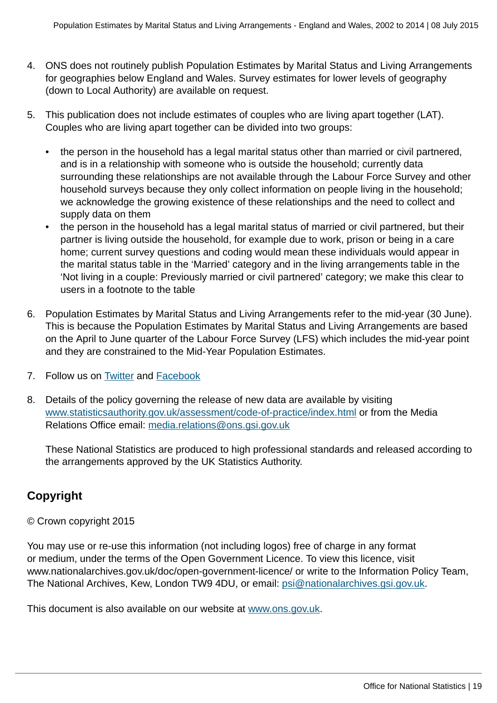- 4. ONS does not routinely publish Population Estimates by Marital Status and Living Arrangements for geographies below England and Wales. Survey estimates for lower levels of geography (down to Local Authority) are available on request.
- 5. This publication does not include estimates of couples who are living apart together (LAT). Couples who are living apart together can be divided into two groups:
	- the person in the household has a legal marital status other than married or civil partnered, and is in a relationship with someone who is outside the household; currently data surrounding these relationships are not available through the Labour Force Survey and other household surveys because they only collect information on people living in the household; we acknowledge the growing existence of these relationships and the need to collect and supply data on them
	- the person in the household has a legal marital status of married or civil partnered, but their partner is living outside the household, for example due to work, prison or being in a care home; current survey questions and coding would mean these individuals would appear in the marital status table in the 'Married' category and in the living arrangements table in the 'Not living in a couple: Previously married or civil partnered' category; we make this clear to users in a footnote to the table
- 6. Population Estimates by Marital Status and Living Arrangements refer to the mid-year (30 June). This is because the Population Estimates by Marital Status and Living Arrangements are based on the April to June quarter of the Labour Force Survey (LFS) which includes the mid-year point and they are constrained to the Mid-Year Population Estimates.
- 7. Follow us on [Twitter](http://www.ons.gov.uk:80/ons/external-links/social-media/twitter.html) and [Facebook](http://www.ons.gov.uk:80/ons/external-links/social-media/index.html)
- 8. Details of the policy governing the release of new data are available by visiting [www.statisticsauthority.gov.uk/assessment/code-of-practice/index.html](http://www.statisticsauthority.gov.uk/assessment/code-of-practice/index.html) or from the Media Relations Office email: [media.relations@ons.gsi.gov.uk](mailto:media.relations@ons.gsi.gov.uk)

These National Statistics are produced to high professional standards and released according to the arrangements approved by the UK Statistics Authority.

## **Copyright**

## © Crown copyright 2015

You may use or re-use this information (not including logos) free of charge in any format or medium, under the terms of the Open Government Licence. To view this licence, visit www.nationalarchives.gov.uk/doc/open-government-licence/ or write to the Information Policy Team, The National Archives, Kew, London TW9 4DU, or email: [psi@nationalarchives.gsi.gov.uk](mailto:psi@nationalarchives.gsi.gov.uk).

This document is also available on our website at [www.ons.gov.uk.](http://www.ons.gov.uk/)